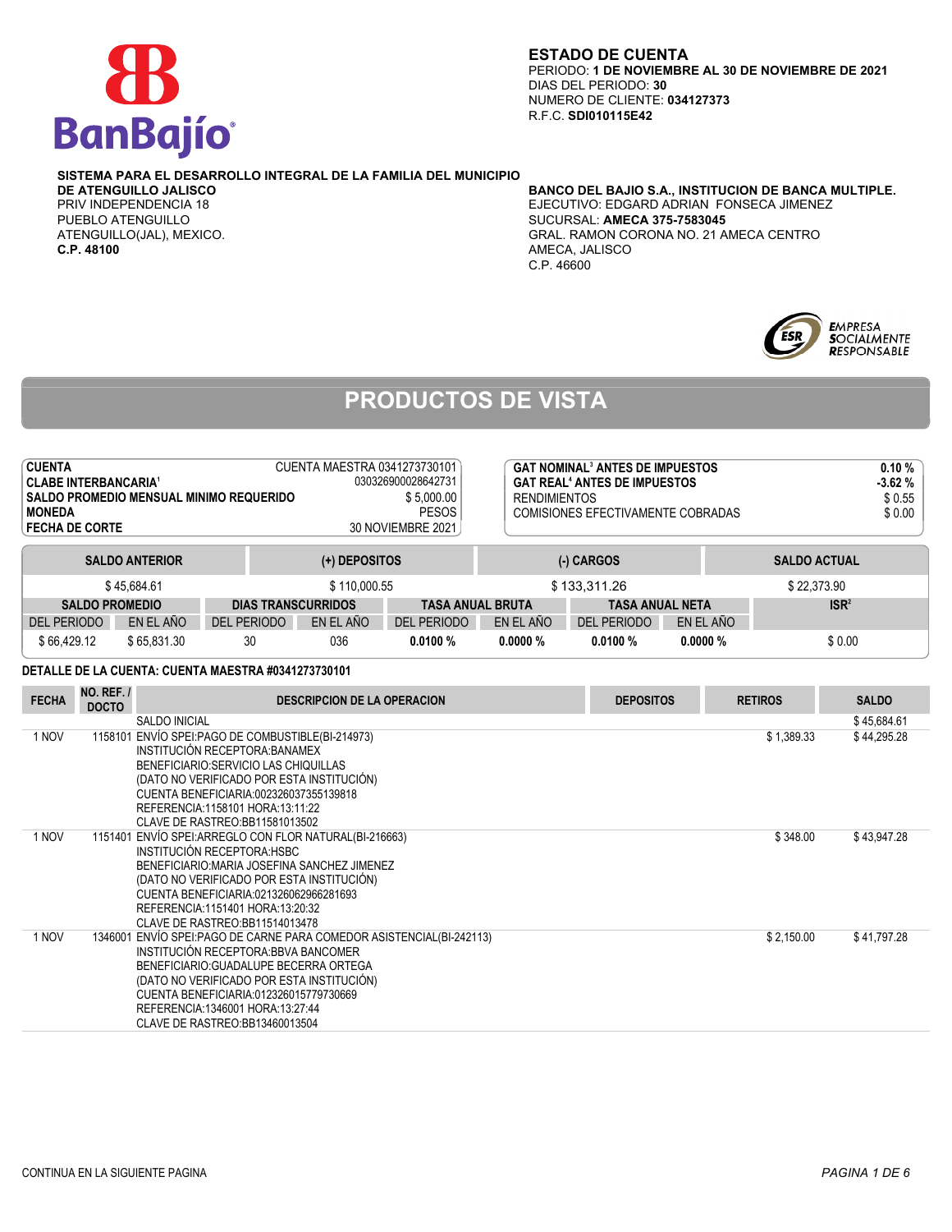

#### **ESTADO DE CUENTA** PERIODO: **1 DE NOVIEMBRE AL 30 DE NOVIEMBRE DE 2021** DIAS DEL PERIODO: **30** NUMERO DE CLIENTE: **034127373** R.F.C. **SDI010115E42**

# **SISTEMA PARA EL DESARROLLO INTEGRAL DE LA FAMILIA DEL MUNICIPIO**

**C.P. 48100** AMECA, JALISCO

# **BANCO DEL BAJIO S.A., INSTITUCION DE BANCA MULTIPLE.** PRIV INDEPENDENCIA 18 EJECUTIVO: EDGARD ADRIAN FONSECA JIMENEZ PUEBLO ATENGUILLO SUCURSAL: **AMECA 375-7583045** GRAL, RAMON CORONA NO. 21 AMECA CENTRO. C.P. 46600



# **PRODUCTOS DE VISTA**

| <b>CUENTA</b><br><b>CLABE INTERBANCARIA<sup>1</sup></b><br>SALDO PROMEDIO MENSUAL MINIMO REQUERIDO<br><b>MONEDA</b><br><b>FECHA DE CORTE</b> |                       |             | CUENTA MAESTRA 0341273730101 | 030326900028642731<br>\$5,000.00<br><b>PESOS</b><br>30 NOVIEMBRE 2021 | <b>GAT NOMINAL<sup>3</sup> ANTES DE IMPUESTOS</b><br><b>GAT REAL<sup>4</sup> ANTES DE IMPUESTOS</b><br><b>RENDIMIENTOS</b><br>COMISIONES EFECTIVAMENTE COBRADAS |                        |           | $0.10 \%$<br>$-3.62%$<br>\$0.55<br>\$0.00 |  |
|----------------------------------------------------------------------------------------------------------------------------------------------|-----------------------|-------------|------------------------------|-----------------------------------------------------------------------|-----------------------------------------------------------------------------------------------------------------------------------------------------------------|------------------------|-----------|-------------------------------------------|--|
|                                                                                                                                              | <b>SALDO ANTERIOR</b> |             | (+) DEPOSITOS                |                                                                       |                                                                                                                                                                 | (-) CARGOS             |           | <b>SALDO ACTUAL</b>                       |  |
|                                                                                                                                              | \$45,684.61           |             | \$110,000.55                 |                                                                       |                                                                                                                                                                 | \$133.311.26           |           | \$22,373.90                               |  |
| <b>SALDO PROMEDIO</b>                                                                                                                        |                       |             | <b>DIAS TRANSCURRIDOS</b>    |                                                                       | <b>TASA ANUAL BRUTA</b>                                                                                                                                         | <b>TASA ANUAL NETA</b> |           | ISR <sup>2</sup>                          |  |
| DEL PERIODO                                                                                                                                  | EN EL AÑO             | DEL PERIODO | EN EL AÑO                    | DEL PERIODO                                                           | EN EL AÑO                                                                                                                                                       | DEL PERIODO            | EN EL AÑO |                                           |  |

\$ 66,429.12 \$ 65,831.30 30 036 **0.0100 % 0.0000 % 0.0100 % 0.0000 %** \$ 0.00

### **DETALLE DE LA CUENTA: CUENTA MAESTRA #0341273730101**

| <b>FECHA</b> | <b>NO. REF. /</b><br><b>DOCTO</b> | <b>DESCRIPCION DE LA OPERACION</b>                                                                                                                                                                                                                                                                                     | <b>DEPOSITOS</b> | <b>RETIROS</b> | <b>SALDO</b> |
|--------------|-----------------------------------|------------------------------------------------------------------------------------------------------------------------------------------------------------------------------------------------------------------------------------------------------------------------------------------------------------------------|------------------|----------------|--------------|
|              |                                   | <b>SALDO INICIAL</b>                                                                                                                                                                                                                                                                                                   |                  |                | \$45,684.61  |
| 1 NOV        |                                   | 1158101 ENVÍO SPEI: PAGO DE COMBUSTIBLE (BI-214973)<br>INSTITUCIÓN RECEPTORA BANAMEX<br>BENEFICIARIO: SERVICIO LAS CHIQUILLAS<br>(DATO NO VERIFICADO POR ESTA INSTITUCIÓN)<br>CUENTA BENEFICIARIA:002326037355139818<br>REFERENCIA:1158101 HORA:13:11:22<br>CLAVE DE RASTREO BB11581013502                             |                  | \$1,389.33     | \$44,295.28  |
| 1 NOV        |                                   | 1151401 ENVÍO SPEI: ARREGLO CON FLOR NATURAL (BI-216663)<br>INSTITUCIÓN RECEPTORA: HSBC<br>BENEFICIARIO MARIA JOSEFINA SANCHEZ JIMENEZ<br>(DATO NO VERIFICADO POR ESTA INSTITUCIÓN)<br>CUENTA BENEFICIARIA:021326062966281693<br>REFERENCIA:1151401 HORA:13:20:32<br>CLAVE DE RASTREO BB11514013478                    |                  | \$348.00       | \$43,947.28  |
| 1 NOV        |                                   | 1346001 ENVÍO SPEI: PAGO DE CARNE PARA COMEDOR ASISTENCIAL (BI-242113)<br>INSTITUCIÓN RECEPTORA: BBVA BANCOMER<br>BENEFICIARIO: GUADALUPE BECERRA ORTEGA<br>(DATO NO VERIFICADO POR ESTA INSTITUCIÓN)<br>CUENTA BENEFICIARIA:012326015779730669<br>REFERENCIA:1346001 HORA:13:27:44<br>CLAVE DE RASTREO: BB13460013504 |                  | \$2,150.00     | \$41,797.28  |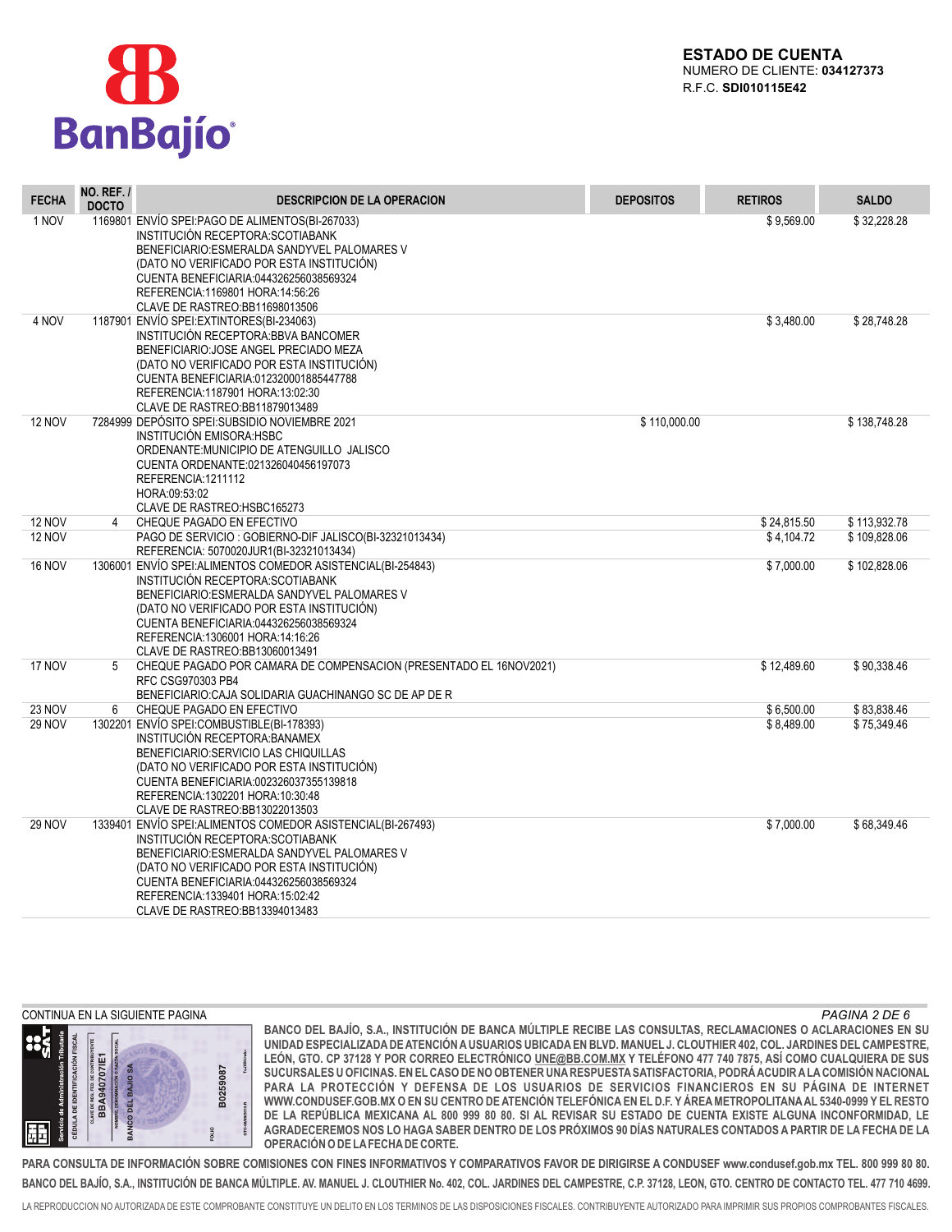

| <b>FECHA</b>  | <b>NO. REF. /</b><br><b>DOCTO</b> | <b>DESCRIPCION DE LA OPERACION</b>                                                                                                                                                                                                                                                                                     | <b>DEPOSITOS</b> | <b>RETIROS</b> | <b>SALDO</b> |
|---------------|-----------------------------------|------------------------------------------------------------------------------------------------------------------------------------------------------------------------------------------------------------------------------------------------------------------------------------------------------------------------|------------------|----------------|--------------|
| 1 NOV         |                                   | 1169801 ENVÍO SPEI: PAGO DE ALIMENTOS (BI-267033)<br>INSTITUCIÓN RECEPTORA: SCOTIABANK<br>BENEFICIARIO: ESMERALDA SANDYVEL PALOMARES V<br>(DATO NO VERIFICADO POR ESTA INSTITUCIÓN)<br>CUENTA BENEFICIARIA:044326256038569324<br>REFERENCIA:1169801 HORA:14:56:26<br>CLAVE DE RASTREO: BB11698013506                   |                  | \$9,569.00     | \$32,228.28  |
| 4 NOV         |                                   | 1187901 ENVÍO SPEI: EXTINTORES (BI-234063)<br>INSTITUCIÓN RECEPTORA: BBVA BANCOMER<br>BENEFICIARIO: JOSE ANGEL PRECIADO MEZA<br>(DATO NO VERIFICADO POR ESTA INSTITUCIÓN)<br>CUENTA BENEFICIARIA:012320001885447788<br>REFERENCIA:1187901 HORA:13:02:30<br>CLAVE DE RASTREO:BB11879013489                              |                  | \$3,480.00     | \$28,748.28  |
| <b>12 NOV</b> |                                   | 7284999 DEPÓSITO SPEI: SUBSIDIO NOVIEMBRE 2021<br>INSTITUCIÓN EMISORA.HSBC<br>ORDENANTE: MUNICIPIO DE ATENGUILLO JALISCO<br>CUENTA ORDENANTE:021326040456197073<br>REFERENCIA:1211112<br>HORA:09:53:02<br>CLAVE DE RASTREO: HSBC165273                                                                                 | \$110,000.00     |                | \$138,748.28 |
| <b>12 NOV</b> | 4                                 | CHEQUE PAGADO EN EFECTIVO                                                                                                                                                                                                                                                                                              |                  | \$24,815.50    | \$113,932.78 |
| <b>12 NOV</b> |                                   | PAGO DE SERVICIO : GOBIERNO-DIF JALISCO(BI-32321013434)<br>REFERENCIA: 5070020JUR1(BI-32321013434)                                                                                                                                                                                                                     |                  | \$4.104.72     | \$109.828.06 |
| 16 NOV        |                                   | 1306001 ENVÍO SPEI: ALIMENTOS COMEDOR ASISTENCIAL (BI-254843)<br>INSTITUCIÓN RECEPTORA: SCOTIABANK<br>BENEFICIARIO: ESMERALDA SANDYVEL PALOMARES V<br>(DATO NO VERIFICADO POR ESTA INSTITUCIÓN)<br>CUENTA BENEFICIARIA:044326256038569324<br>REFERENCIA:1306001 HORA:14:16:26<br><b>CLAVE DE RASTREO:BB13060013491</b> |                  | \$7,000.00     | \$102,828.06 |
| 17 NOV        | 5                                 | CHEQUE PAGADO POR CAMARA DE COMPENSACION (PRESENTADO EL 16NOV2021)<br>RFC CSG970303 PB4<br>BENEFICIARIO: CAJA SOLIDARIA GUACHINANGO SC DE AP DE R                                                                                                                                                                      |                  | \$12,489.60    | \$90,338.46  |
| 23 NOV        | 6                                 | CHEQUE PAGADO EN EFECTIVO                                                                                                                                                                                                                                                                                              |                  | \$6,500.00     | \$83,838.46  |
| 29 NOV        |                                   | 1302201 ENVÍO SPEI:COMBUSTIBLE(BI-178393)<br>INSTITUCIÓN RECEPTORA BANAMEX<br>BENEFICIARIO: SERVICIO LAS CHIQUILLAS<br>(DATO NO VERIFICADO POR ESTA INSTITUCIÓN)<br>CUENTA BENEFICIARIA:002326037355139818<br>REFERENCIA:1302201 HORA:10:30:48<br><b>CLAVE DE RASTREO:BB13022013503</b>                                |                  | \$8,489.00     | \$75,349.46  |
| <b>29 NOV</b> |                                   | 1339401 ENVÍO SPEI: ALIMENTOS COMEDOR ASISTENCIAL (BI-267493)<br>INSTITUCIÓN RECEPTORA: SCOTIABANK<br>BENEFICIARIO: ESMERALDA SANDYVEL PALOMARES V<br>(DATO NO VERIFICADO POR ESTA INSTITUCIÓN)<br>CUENTA BENEFICIARIA:044326256038569324<br>REFERENCIA:1339401 HORA:15:02:42<br>CLAVE DE RASTREO: BB13394013483       |                  | \$7.000.00     | \$68,349.46  |

#### *CONTINUA EN LA SIGUIENTE PAGINA PAGINA 2 DE 6*



**BANCO DEL BAJÍO, S.A., INSTITUCIÓN DE BANCA MÚLTIPLE RECIBE LAS CONSULTAS, RECLAMACIONES O ACLARACIONES EN SU UNIDAD ESPECIALIZADA DE ATENCIÓN A USUARIOS UBICADA EN BLVD. MANUEL J. CLOUTHIER 402, COL. JARDINES DEL CAMPESTRE,** LEÓN, GTO. CP 37128 Y POR CORREO ELECTRÓNICO UNE@BB.COM.MX Y TELÉFONO 477 740 7875, ASÍ COMO CUALQUIERA DE SUS **SUCURSALES U OFICINAS. EN EL CASO DE NO OBTENER UNA RESPUESTA SATISFACTORIA, PODRÁ ACUDIR A LA COMISIÓN NACIONAL PARA LA PROTECCIÓN Y DEFENSA DE LOS USUARIOS DE SERVICIOS FINANCIEROS EN SU PÁGINA DE INTERNET WWW.CONDUSEF.GOB.MX O EN SU CENTRO DE ATENCIÓN TELEFÓNICA EN EL D.F. Y ÁREA METROPOLITANA AL 5340-0999 Y EL RESTO DE LA REPÚBLICA MEXICANA AL 800 999 80 80. SI AL REVISAR SU ESTADO DE CUENTA EXISTE ALGUNA INCONFORMIDAD, LE AGRADECEREMOS NOS LO HAGA SABER DENTRO DE LOS PRÓXIMOS 90 DÍAS NATURALES CONTADOS A PARTIR DE LA FECHA DE LA OPERACIÓN O DE LAFECHADE CORTE.**

**BANCO DEL BAJÍO, S.A., INSTITUCIÓN DE BANCA MÚLTIPLE. AV. MANUEL J. CLOUTHIER No. 402, COL. JARDINES DEL CAMPESTRE, C.P. 37128, LEON, GTO. CENTRO DE CONTACTO TEL. 477 710 4699. PARA CONSULTA DE INFORMACIÓN SOBRE COMISIONES CON FINES INFORMATIVOS Y COMPARATIVOS FAVOR DE DIRIGIRSE A CONDUSEF www.condusef.gob.mx TEL. 800 999 80 80.**

LA REPRODUCCION NO AUTORIZADA DE ESTE COMPROBANTE CONSTITUYE UN DELITO EN LOS TERMINOS DE LAS DISPOSICIONES FISCALES. CONTRIBUYENTE AUTORIZADO PARA IMPRIMIR SUS PROPIOS COMPROBANTES FISCALES.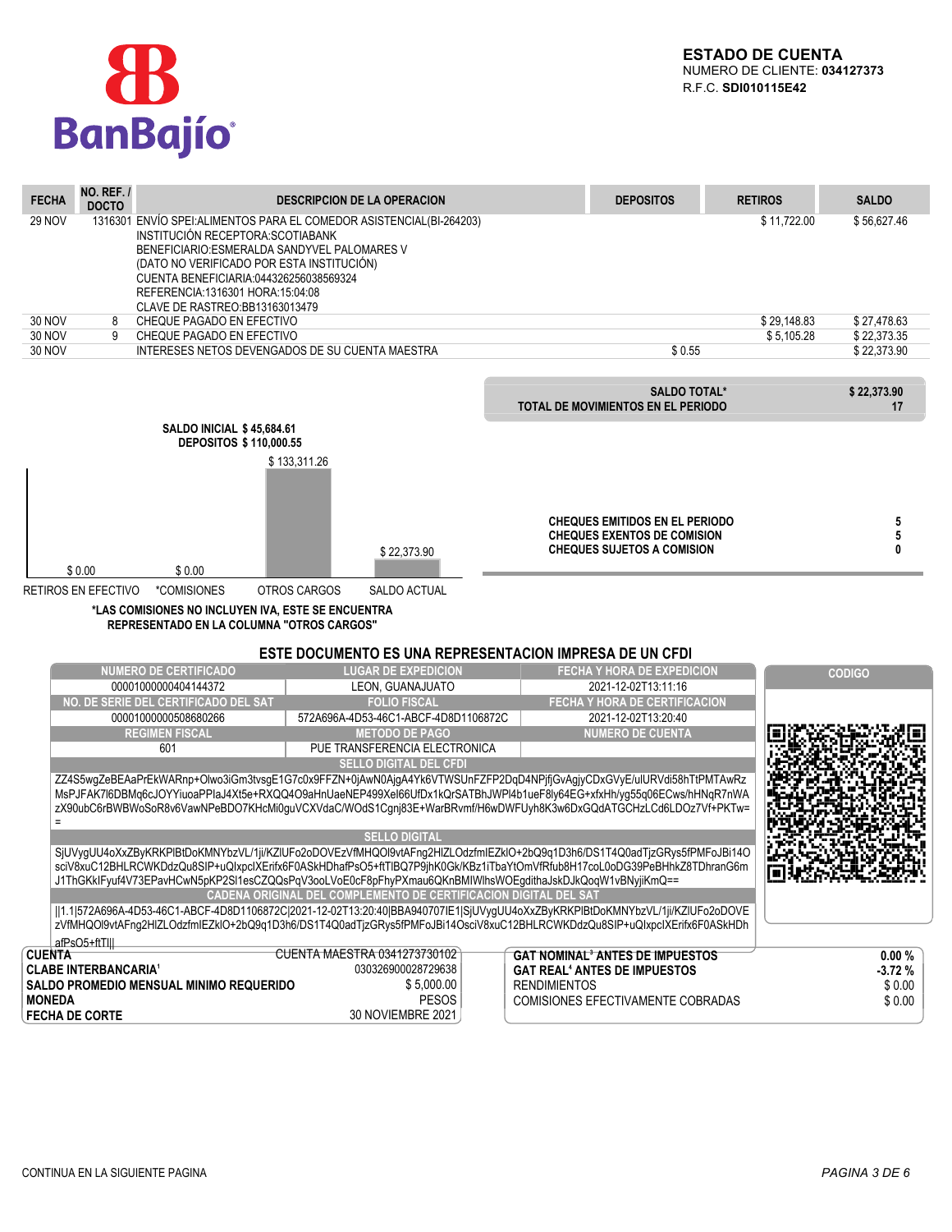

| <b>FECHA</b>  | <b>NO. REF. /</b><br><b>DOCTO</b>    | <b>DESCRIPCION DE LA OPERACION</b>                                                                                                                                                                                                              |                                                                                                                                                                                                                                                                                                                                                                                                                                                                                                                                                                                                                                                                                                                                                                                                                                                                                                                                                                                                                                                                                              | <b>DEPOSITOS</b>    | <b>RETIROS</b>                                                                                                   | <b>SALDO</b> |                   |
|---------------|--------------------------------------|-------------------------------------------------------------------------------------------------------------------------------------------------------------------------------------------------------------------------------------------------|----------------------------------------------------------------------------------------------------------------------------------------------------------------------------------------------------------------------------------------------------------------------------------------------------------------------------------------------------------------------------------------------------------------------------------------------------------------------------------------------------------------------------------------------------------------------------------------------------------------------------------------------------------------------------------------------------------------------------------------------------------------------------------------------------------------------------------------------------------------------------------------------------------------------------------------------------------------------------------------------------------------------------------------------------------------------------------------------|---------------------|------------------------------------------------------------------------------------------------------------------|--------------|-------------------|
| <b>29 NOV</b> |                                      | INSTITUCIÓN RECEPTORA: SCOTIABANK<br>BENEFICIARIO: ESMERALDA SANDYVEL PALOMARES V<br>(DATO NO VERIFICADO POR ESTA INSTITUCIÓN)<br>CUENTA BENEFICIARIA:044326256038569324<br>REFERENCIA:1316301 HORA:15:04:08<br>CLAVE DE RASTREO: BB13163013479 | 1316301 ENVÍO SPEI: ALIMENTOS PARA EL COMEDOR ASISTENCIAL (BI-264203)                                                                                                                                                                                                                                                                                                                                                                                                                                                                                                                                                                                                                                                                                                                                                                                                                                                                                                                                                                                                                        |                     |                                                                                                                  | \$11,722.00  | \$56,627.46       |
| <b>30 NOV</b> | 8                                    | CHEQUE PAGADO EN EFECTIVO                                                                                                                                                                                                                       |                                                                                                                                                                                                                                                                                                                                                                                                                                                                                                                                                                                                                                                                                                                                                                                                                                                                                                                                                                                                                                                                                              |                     |                                                                                                                  | \$29,148.83  | \$27,478.63       |
| <b>30 NOV</b> | 9                                    | CHEQUE PAGADO EN EFECTIVO                                                                                                                                                                                                                       |                                                                                                                                                                                                                                                                                                                                                                                                                                                                                                                                                                                                                                                                                                                                                                                                                                                                                                                                                                                                                                                                                              |                     |                                                                                                                  | \$5,105.28   | \$22,373.35       |
| <b>30 NOV</b> |                                      |                                                                                                                                                                                                                                                 | INTERESES NETOS DEVENGADOS DE SU CUENTA MAESTRA                                                                                                                                                                                                                                                                                                                                                                                                                                                                                                                                                                                                                                                                                                                                                                                                                                                                                                                                                                                                                                              |                     | \$0.55                                                                                                           |              | \$22.373.90       |
|               |                                      | <b>SALDO INICIAL \$45,684.61</b><br><b>DEPOSITOS \$110,000.55</b>                                                                                                                                                                               |                                                                                                                                                                                                                                                                                                                                                                                                                                                                                                                                                                                                                                                                                                                                                                                                                                                                                                                                                                                                                                                                                              |                     | <b>SALDO TOTAL*</b><br>TOTAL DE MOVIMIENTOS EN EL PERIODO                                                        |              | \$22,373.90<br>17 |
|               | \$0.00<br><b>RETIROS EN EFECTIVO</b> | \$0.00<br>*COMISIONES<br>*LAS COMISIONES NO INCLUYEN IVA. ESTE SE ENCUENTRA<br>REPRESENTADO EN LA COLUMNA "OTROS CARGOS"                                                                                                                        | \$133,311.26<br>\$22,373.90<br>OTROS CARGOS<br><b>SALDO ACTUAL</b><br><b>ESTE DOCUMENTO ES UNA REPRESENTACION IMPRESA DE UN CFDI</b>                                                                                                                                                                                                                                                                                                                                                                                                                                                                                                                                                                                                                                                                                                                                                                                                                                                                                                                                                         |                     | <b>CHEQUES EMITIDOS EN EL PERIODO</b><br><b>CHEQUES EXENTOS DE COMISION</b><br><b>CHEQUES SUJETOS A COMISION</b> |              | 5<br>5<br>0       |
|               |                                      | <b>NUMERO DE CERTIFICADO</b>                                                                                                                                                                                                                    | <b>LUGAR DE EXPEDICION</b>                                                                                                                                                                                                                                                                                                                                                                                                                                                                                                                                                                                                                                                                                                                                                                                                                                                                                                                                                                                                                                                                   |                     | <b>FECHA Y HORA DE EXPEDICION</b>                                                                                |              | <b>CODIGO</b>     |
|               |                                      | 00001000000404144372                                                                                                                                                                                                                            | LEON, GUANAJUATO                                                                                                                                                                                                                                                                                                                                                                                                                                                                                                                                                                                                                                                                                                                                                                                                                                                                                                                                                                                                                                                                             |                     | 2021-12-02T13:11:16                                                                                              |              |                   |
|               |                                      | NO. DE SERIE DEL CERTIFICADO DEL SAT                                                                                                                                                                                                            | <b>FOLIO FISCAL</b>                                                                                                                                                                                                                                                                                                                                                                                                                                                                                                                                                                                                                                                                                                                                                                                                                                                                                                                                                                                                                                                                          |                     | FECHA Y HORA DE CERTIFICACION                                                                                    |              |                   |
|               |                                      | 00001000000508680266                                                                                                                                                                                                                            | 572A696A-4D53-46C1-ABCF-4D8D1106872C                                                                                                                                                                                                                                                                                                                                                                                                                                                                                                                                                                                                                                                                                                                                                                                                                                                                                                                                                                                                                                                         |                     | 2021-12-02T13:20:40                                                                                              |              |                   |
|               |                                      | <b>REGIMEN FISCAL</b>                                                                                                                                                                                                                           | <b>METODO DE PAGO</b>                                                                                                                                                                                                                                                                                                                                                                                                                                                                                                                                                                                                                                                                                                                                                                                                                                                                                                                                                                                                                                                                        |                     | <b>NUMERO DE CUENTA</b>                                                                                          |              |                   |
|               |                                      | 601                                                                                                                                                                                                                                             | PUE TRANSFERENCIA ELECTRONICA                                                                                                                                                                                                                                                                                                                                                                                                                                                                                                                                                                                                                                                                                                                                                                                                                                                                                                                                                                                                                                                                |                     |                                                                                                                  |              |                   |
|               |                                      |                                                                                                                                                                                                                                                 | <b>SELLO DIGITAL DEL CFDI</b>                                                                                                                                                                                                                                                                                                                                                                                                                                                                                                                                                                                                                                                                                                                                                                                                                                                                                                                                                                                                                                                                |                     |                                                                                                                  |              |                   |
| $\equiv$      |                                      |                                                                                                                                                                                                                                                 | ZZ4S5wgZeBEAaPrEkWARnp+Olwo3iGm3tvsgE1G7c0x9FFZN+0jAwN0AjgA4Yk6VTWSUnFZFP2DqD4NPjfjGvAgjyCDxGVyE/ulURVdi58hTtPMTAwRz<br>MsPJFAK7l6DBMq6cJOYYiuoaPPlaJ4Xt5e+RXQQ4O9aHnUaeNEP499Xel66UfDx1kQrSATBhJWPl4b1ueF8ly64EG+xfxHh/yq55q06ECws/hHNqR7nWA<br>zX90ubC6rBWBWoSoR8v6VawNPeBDO7KHcMi0guVCXVdaC/WOdS1Cgnj83E+WarBRvmf/H6wDWFUyh8K3w6DxGQdATGCHzLCd6LDOz7Vf+PKTw=<br><b>SELLO DIGITAL</b><br>SjUVygUU4oXxZByKRKPIBtDoKMNYbzVL/1ji/KZIUFo2oDOVEzVfMHQOl9vtAFng2HIZLOdzfmIEZkIO+2bQ9q1D3h6/DS1T4Q0adTjzGRys5fPMFoJBi14O<br>sciV8xuC12BHLRCWKDdzQu8SIP+uQIxpclXErifx6F0ASkHDhafPsO5+ftTlBQ7P9ihK0Gk/KBz1iTbaYtOmVfRfub8H17coL0oDG39PeBHhkZ8TDhranG6m<br>J1ThGKkIFyuf4V73EPavHCwN5pKP2SI1esCZQQsPqV3ooLVoE0cF8pFhyPXmau6QKnBMIWlhsWOEgdithaJskDJkQoqW1vBNyjiKmQ==<br>CADENA ORIGINAL DEL COMPLEMENTO DE CERTIFICACION DIGITAL DEL SAT<br>  1.1 572A696A-4D53-46C1-ABCF-4D8D1106872C 2021-12-02T13:20:40 BBA940707IE1 SjUVygUU4oXxZByKRKPIBtDoKMNYbzVL/1ji/KZIUFo2oDOVE<br>zVfMHQOl9vtAFng2HIZLOdzfmIEZkIO+2bQ9q1D3h6/DS1T4Q0adTjzGRys5fPMFoJBi14OsciV8xuC12BHLRCWKDdzQu8SIP+uQIxpclXErifx6F0ASkHDh |                     |                                                                                                                  |              |                   |
|               |                                      |                                                                                                                                                                                                                                                 |                                                                                                                                                                                                                                                                                                                                                                                                                                                                                                                                                                                                                                                                                                                                                                                                                                                                                                                                                                                                                                                                                              |                     |                                                                                                                  |              |                   |
| <b>CUENTA</b> | afPsO5+ftTIII                        |                                                                                                                                                                                                                                                 | CUENTA MAESTRA 0341273730102                                                                                                                                                                                                                                                                                                                                                                                                                                                                                                                                                                                                                                                                                                                                                                                                                                                                                                                                                                                                                                                                 |                     | <b>GAT NOMINAL<sup>3</sup> ANTES DE IMPUESTOS</b>                                                                |              | 0.00%             |
|               | <b>CLABE INTERBANCARIA1</b>          |                                                                                                                                                                                                                                                 | 030326900028729638                                                                                                                                                                                                                                                                                                                                                                                                                                                                                                                                                                                                                                                                                                                                                                                                                                                                                                                                                                                                                                                                           |                     | <b>GAT REAL<sup>4</sup> ANTES DE IMPUESTOS</b>                                                                   |              | $-3.72%$          |
|               |                                      | SALDO PROMEDIO MENSUAL MINIMO REQUERIDO                                                                                                                                                                                                         | \$5.000.00                                                                                                                                                                                                                                                                                                                                                                                                                                                                                                                                                                                                                                                                                                                                                                                                                                                                                                                                                                                                                                                                                   | <b>RENDIMIENTOS</b> |                                                                                                                  |              | \$0.00            |
| <b>MONEDA</b> | <b>FECHA DE CORTE</b>                |                                                                                                                                                                                                                                                 | <b>PESOS</b><br>30 NOVIEMBRE 2021                                                                                                                                                                                                                                                                                                                                                                                                                                                                                                                                                                                                                                                                                                                                                                                                                                                                                                                                                                                                                                                            |                     | <b>COMISIONES EFECTIVAMENTE COBRADAS</b>                                                                         |              | \$0.00            |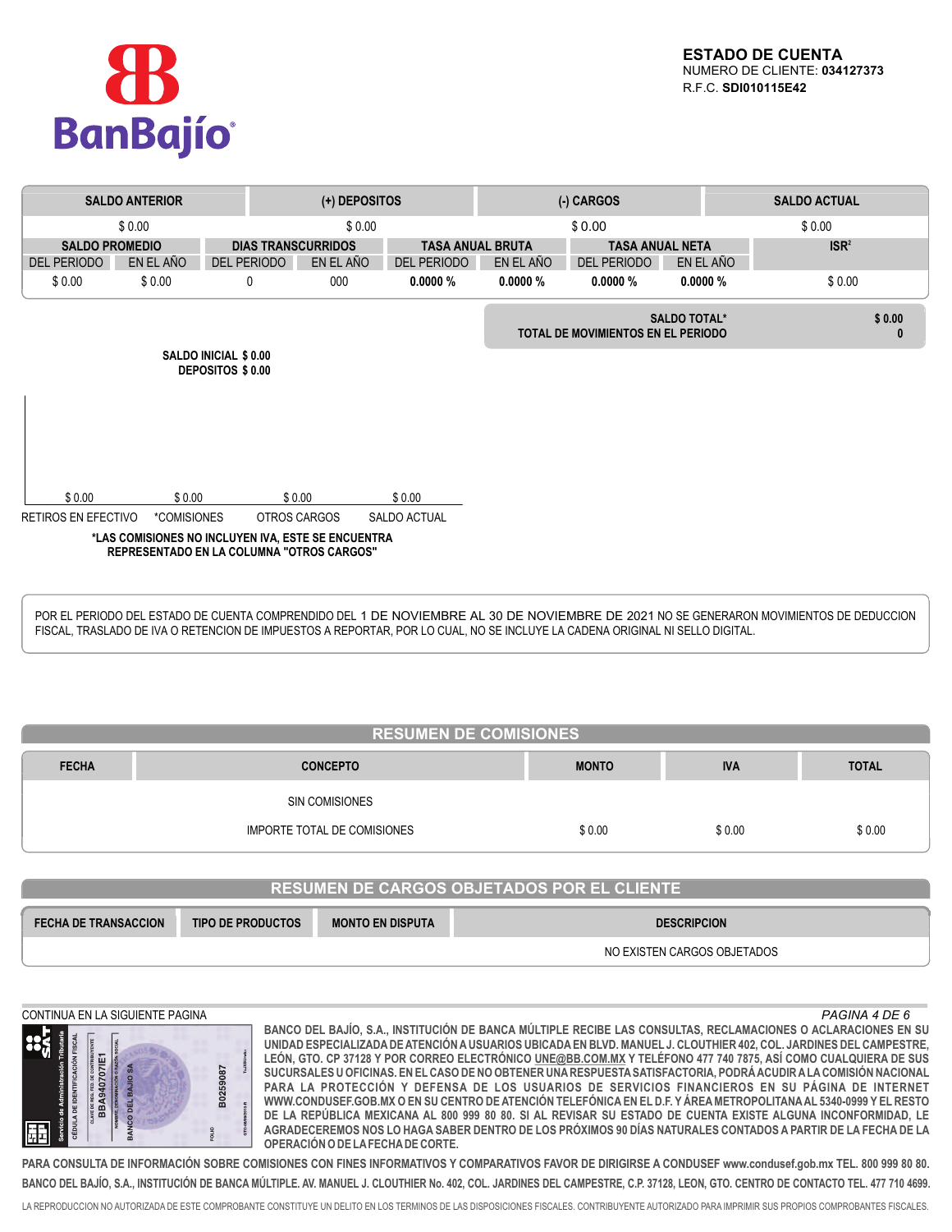



SIN COMISIONES

IMPORTE TOTAL DE COMISIONES  $$ 0.00$   $$ 0.00$   $$ 0.00$   $$ 0.00$ 

# **RESUMEN DE CARGOS OBJETADOS POR EL CLIENTE**

| <b>FECHA DE TRANSACCION</b> | <b>MONTO EN DISPUTA</b><br><b>TIPO DE PRODUCTOS</b> |  | <b>DESCRIPCION</b>          |
|-----------------------------|-----------------------------------------------------|--|-----------------------------|
|                             |                                                     |  | NO EXISTEN CARGOS OBJETADOS |



**BANCO DEL BAJÍO, S.A., INSTITUCIÓN DE BANCA MÚLTIPLE RECIBE LAS CONSULTAS, RECLAMACIONES O ACLARACIONES EN SU UNIDAD ESPECIALIZADA DE ATENCIÓN A USUARIOS UBICADA EN BLVD. MANUEL J. CLOUTHIER 402, COL. JARDINES DEL CAMPESTRE,** LEÓN, GTO. CP 37128 Y POR CORREO ELECTRÓNICO UNE@BB.COM.MX Y TELÉFONO 477 740 7875, ASÍ COMO CUALQUIERA DE SUS **SUCURSALES U OFICINAS. EN EL CASO DE NO OBTENER UNA RESPUESTA SATISFACTORIA, PODRÁ ACUDIR A LA COMISIÓN NACIONAL PARA LA PROTECCIÓN Y DEFENSA DE LOS USUARIOS DE SERVICIOS FINANCIEROS EN SU PÁGINA DE INTERNET WWW.CONDUSEF.GOB.MX O EN SU CENTRO DE ATENCIÓN TELEFÓNICA EN EL D.F. Y ÁREA METROPOLITANA AL 5340-0999 Y EL RESTO DE LA REPÚBLICA MEXICANA AL 800 999 80 80. SI AL REVISAR SU ESTADO DE CUENTA EXISTE ALGUNA INCONFORMIDAD, LE AGRADECEREMOS NOS LO HAGA SABER DENTRO DE LOS PRÓXIMOS 90 DÍAS NATURALES CONTADOS A PARTIR DE LA FECHA DE LA OPERACIÓN O DE LAFECHADE CORTE.**

**BANCO DEL BAJÍO, S.A., INSTITUCIÓN DE BANCA MÚLTIPLE. AV. MANUEL J. CLOUTHIER No. 402, COL. JARDINES DEL CAMPESTRE, C.P. 37128, LEON, GTO. CENTRO DE CONTACTO TEL. 477 710 4699. PARA CONSULTA DE INFORMACIÓN SOBRE COMISIONES CON FINES INFORMATIVOS Y COMPARATIVOS FAVOR DE DIRIGIRSE A CONDUSEF www.condusef.gob.mx TEL. 800 999 80 80.**

LA REPRODUCCION NO AUTORIZADA DE ESTE COMPROBANTE CONSTITUYE UN DELITO EN LOS TERMINOS DE LAS DISPOSICIONES FISCALES. CONTRIBUYENTE AUTORIZADO PARA IMPRIMIR SUS PROPIOS COMPROBANTES FISCALES.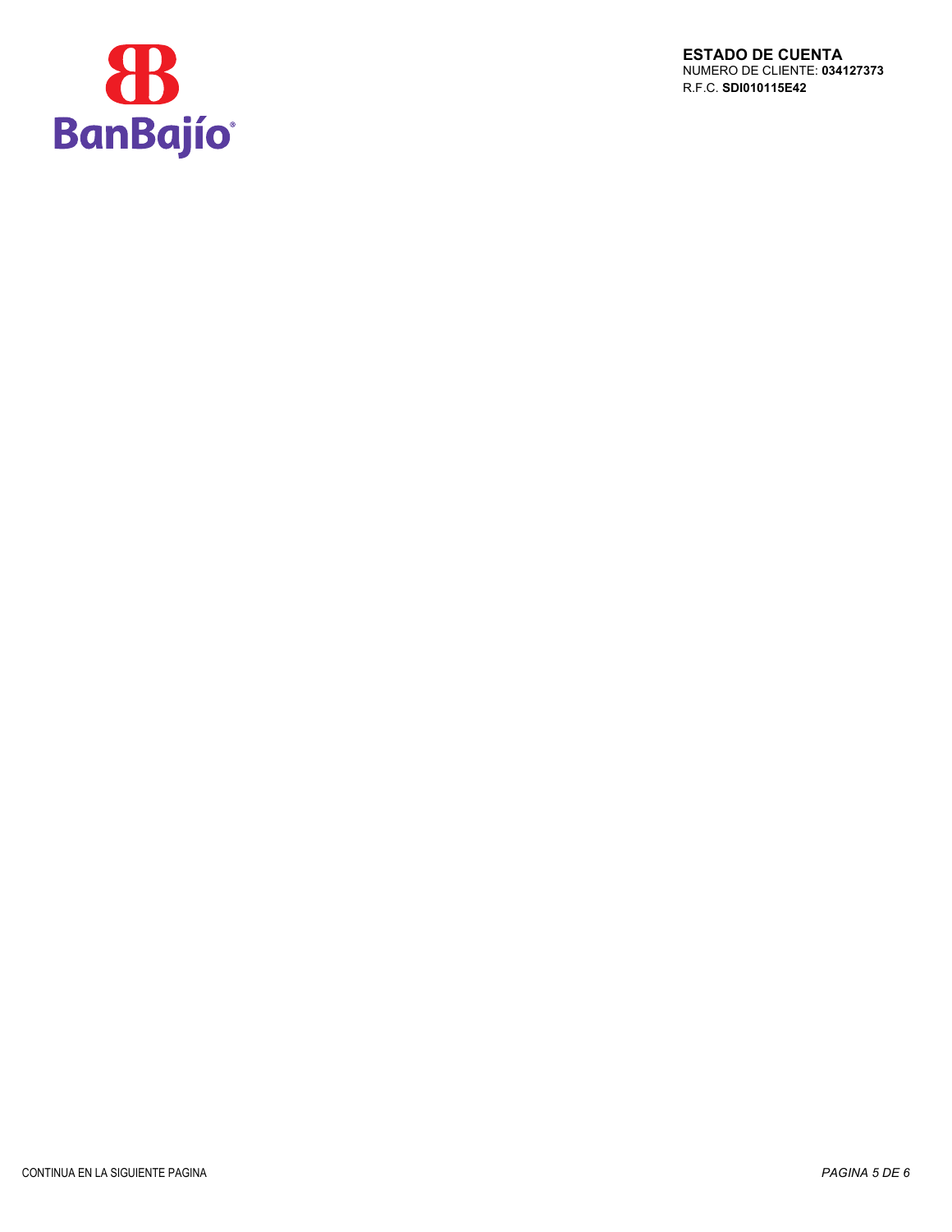

**ESTADO DE CUENTA** NUMERO DE CLIENTE: **034127373** R.F.C. **SDI010115E42**